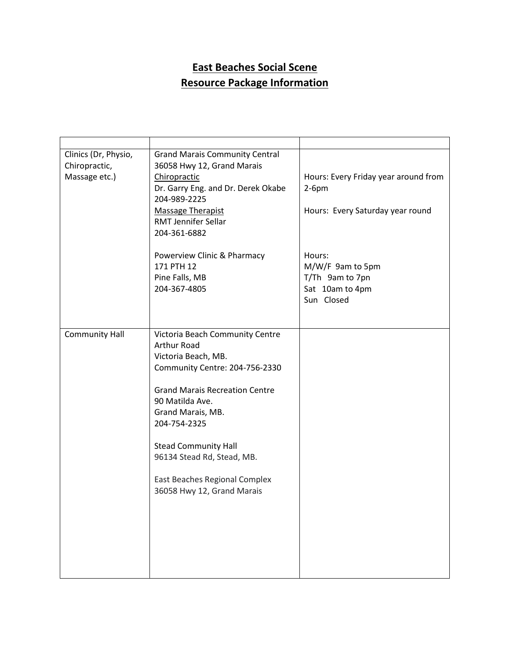## **East Beaches Social Scene Resource Package Information**

| Clinics (Dr, Physio,  | <b>Grand Marais Community Central</b> |                                      |
|-----------------------|---------------------------------------|--------------------------------------|
| Chiropractic,         | 36058 Hwy 12, Grand Marais            |                                      |
| Massage etc.)         | Chiropractic                          | Hours: Every Friday year around from |
|                       |                                       |                                      |
|                       | Dr. Garry Eng. and Dr. Derek Okabe    | $2-6pm$                              |
|                       | 204-989-2225                          |                                      |
|                       | <b>Massage Therapist</b>              | Hours: Every Saturday year round     |
|                       | <b>RMT Jennifer Sellar</b>            |                                      |
|                       | 204-361-6882                          |                                      |
|                       |                                       |                                      |
|                       | Powerview Clinic & Pharmacy           | Hours:                               |
|                       | 171 PTH 12                            | M/W/F 9am to 5pm                     |
|                       |                                       |                                      |
|                       | Pine Falls, MB                        | T/Th 9am to 7pn                      |
|                       | 204-367-4805                          | Sat 10am to 4pm                      |
|                       |                                       | Sun Closed                           |
|                       |                                       |                                      |
|                       |                                       |                                      |
| <b>Community Hall</b> | Victoria Beach Community Centre       |                                      |
|                       | Arthur Road                           |                                      |
|                       | Victoria Beach, MB.                   |                                      |
|                       | Community Centre: 204-756-2330        |                                      |
|                       |                                       |                                      |
|                       | <b>Grand Marais Recreation Centre</b> |                                      |
|                       | 90 Matilda Ave.                       |                                      |
|                       |                                       |                                      |
|                       | Grand Marais, MB.                     |                                      |
|                       | 204-754-2325                          |                                      |
|                       |                                       |                                      |
|                       | <b>Stead Community Hall</b>           |                                      |
|                       | 96134 Stead Rd, Stead, MB.            |                                      |
|                       |                                       |                                      |
|                       | East Beaches Regional Complex         |                                      |
|                       | 36058 Hwy 12, Grand Marais            |                                      |
|                       |                                       |                                      |
|                       |                                       |                                      |
|                       |                                       |                                      |
|                       |                                       |                                      |
|                       |                                       |                                      |
|                       |                                       |                                      |
|                       |                                       |                                      |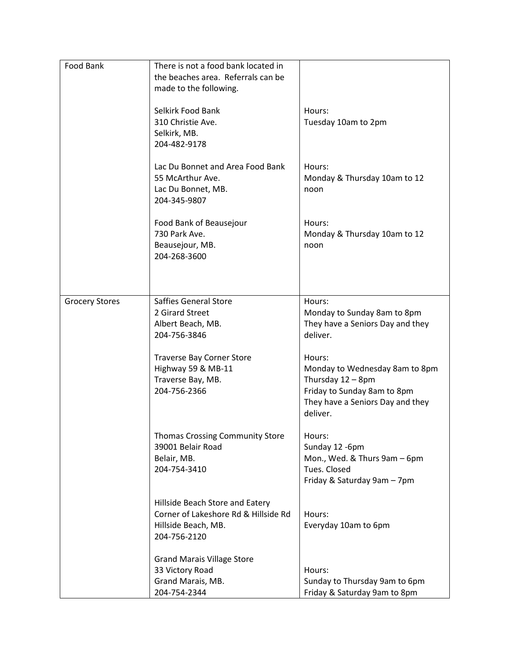| Food Bank             | There is not a food bank located in<br>the beaches area. Referrals can be<br>made to the following.<br>Selkirk Food Bank<br>310 Christie Ave.<br>Selkirk, MB.<br>204-482-9178<br>Lac Du Bonnet and Area Food Bank | Hours:<br>Tuesday 10am to 2pm<br>Hours:                                                                                                      |
|-----------------------|-------------------------------------------------------------------------------------------------------------------------------------------------------------------------------------------------------------------|----------------------------------------------------------------------------------------------------------------------------------------------|
|                       | 55 McArthur Ave.<br>Lac Du Bonnet, MB.<br>204-345-9807                                                                                                                                                            | Monday & Thursday 10am to 12<br>noon                                                                                                         |
|                       | Food Bank of Beausejour<br>730 Park Ave.<br>Beausejour, MB.<br>204-268-3600                                                                                                                                       | Hours:<br>Monday & Thursday 10am to 12<br>noon                                                                                               |
| <b>Grocery Stores</b> | Saffies General Store<br>2 Girard Street<br>Albert Beach, MB.<br>204-756-3846                                                                                                                                     | Hours:<br>Monday to Sunday 8am to 8pm<br>They have a Seniors Day and they<br>deliver.                                                        |
|                       | <b>Traverse Bay Corner Store</b><br>Highway 59 & MB-11<br>Traverse Bay, MB.<br>204-756-2366                                                                                                                       | Hours:<br>Monday to Wednesday 8am to 8pm<br>Thursday 12 - 8pm<br>Friday to Sunday 8am to 8pm<br>They have a Seniors Day and they<br>deliver. |
|                       | <b>Thomas Crossing Community Store</b><br>39001 Belair Road<br>Belair, MB.<br>204-754-3410                                                                                                                        | Hours:<br>Sunday 12 -6pm<br>Mon., Wed. & Thurs 9am - 6pm<br>Tues. Closed<br>Friday & Saturday 9am - 7pm                                      |
|                       | Hillside Beach Store and Eatery<br>Corner of Lakeshore Rd & Hillside Rd<br>Hillside Beach, MB.<br>204-756-2120                                                                                                    | Hours:<br>Everyday 10am to 6pm                                                                                                               |
|                       | <b>Grand Marais Village Store</b><br>33 Victory Road<br>Grand Marais, MB.<br>204-754-2344                                                                                                                         | Hours:<br>Sunday to Thursday 9am to 6pm<br>Friday & Saturday 9am to 8pm                                                                      |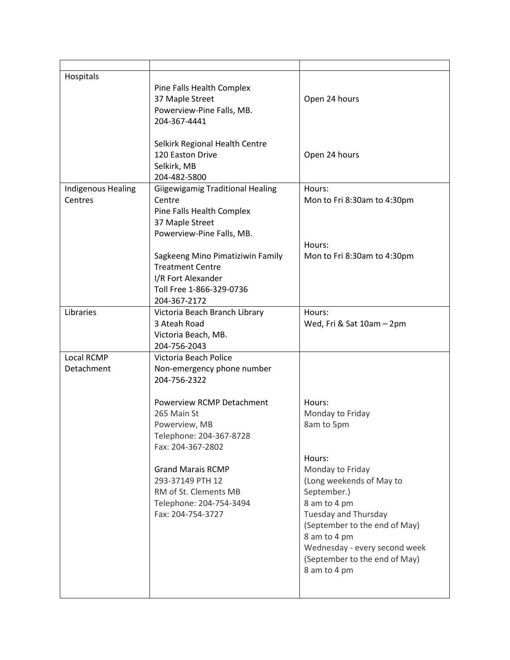| Hospitals                     | Pine Falls Health Complex<br>37 Maple Street<br>Powerview-Pine Falls, MB.<br>204-367-4441                                                                                                                                                                                                                 | Open 24 hours                                                                                                                                                                                                                                                                                |
|-------------------------------|-----------------------------------------------------------------------------------------------------------------------------------------------------------------------------------------------------------------------------------------------------------------------------------------------------------|----------------------------------------------------------------------------------------------------------------------------------------------------------------------------------------------------------------------------------------------------------------------------------------------|
|                               | Selkirk Regional Health Centre<br>120 Easton Drive<br>Selkirk, MB<br>204-482-5800                                                                                                                                                                                                                         | Open 24 hours                                                                                                                                                                                                                                                                                |
| Indigenous Healing<br>Centres | <b>Giigewigamig Traditional Healing</b><br>Centre<br>Pine Falls Health Complex<br>37 Maple Street<br>Powerview-Pine Falls, MB.                                                                                                                                                                            | Hours:<br>Mon to Fri 8:30am to 4:30pm                                                                                                                                                                                                                                                        |
|                               | Sagkeeng Mino Pimatiziwin Family<br><b>Treatment Centre</b><br>I/R Fort Alexander<br>Toll Free 1-866-329-0736<br>204-367-2172                                                                                                                                                                             | Hours:<br>Mon to Fri 8:30am to 4:30pm                                                                                                                                                                                                                                                        |
| Libraries                     | Victoria Beach Branch Library<br>3 Ateah Road<br>Victoria Beach, MB.<br>204-756-2043                                                                                                                                                                                                                      | Hours:<br>Wed, Fri & Sat 10am - 2pm                                                                                                                                                                                                                                                          |
| Local RCMP<br>Detachment      | Victoria Beach Police<br>Non-emergency phone number<br>204-756-2322<br>Powerview RCMP Detachment<br>265 Main St<br>Powerview, MB<br>Telephone: 204-367-8728<br>Fax: 204-367-2802<br><b>Grand Marais RCMP</b><br>293-37149 PTH 12<br>RM of St. Clements MB<br>Telephone: 204-754-3494<br>Fax: 204-754-3727 | Hours:<br>Monday to Friday<br>8am to 5pm<br>Hours:<br>Monday to Friday<br>(Long weekends of May to<br>September.)<br>8 am to 4 pm<br>Tuesday and Thursday<br>(September to the end of May)<br>8 am to 4 pm<br>Wednesday - every second week<br>(September to the end of May)<br>8 am to 4 pm |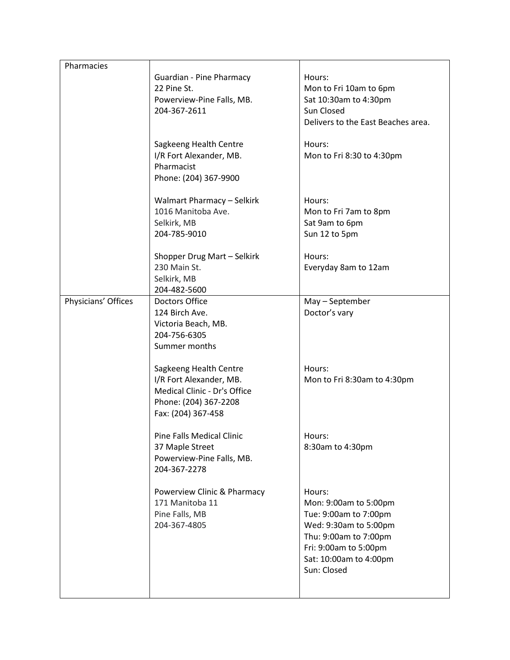| Pharmacies          |                                   |                                    |
|---------------------|-----------------------------------|------------------------------------|
|                     | Guardian - Pine Pharmacy          | Hours:                             |
|                     | 22 Pine St.                       | Mon to Fri 10am to 6pm             |
|                     | Powerview-Pine Falls, MB.         | Sat 10:30am to 4:30pm              |
|                     | 204-367-2611                      | Sun Closed                         |
|                     |                                   | Delivers to the East Beaches area. |
|                     |                                   |                                    |
|                     | Sagkeeng Health Centre            | Hours:                             |
|                     | I/R Fort Alexander, MB.           | Mon to Fri 8:30 to 4:30pm          |
|                     | Pharmacist                        |                                    |
|                     | Phone: (204) 367-9900             |                                    |
|                     |                                   |                                    |
|                     | <b>Walmart Pharmacy - Selkirk</b> | Hours:                             |
|                     | 1016 Manitoba Ave.                | Mon to Fri 7am to 8pm              |
|                     | Selkirk, MB                       | Sat 9am to 6pm                     |
|                     | 204-785-9010                      | Sun 12 to 5pm                      |
|                     |                                   |                                    |
|                     | Shopper Drug Mart - Selkirk       | Hours:                             |
|                     | 230 Main St.                      | Everyday 8am to 12am               |
|                     | Selkirk, MB                       |                                    |
|                     | 204-482-5600                      |                                    |
| Physicians' Offices | <b>Doctors Office</b>             | May - September                    |
|                     | 124 Birch Ave.                    | Doctor's vary                      |
|                     | Victoria Beach, MB.               |                                    |
|                     | 204-756-6305                      |                                    |
|                     | Summer months                     |                                    |
|                     |                                   |                                    |
|                     | Sagkeeng Health Centre            | Hours:                             |
|                     | I/R Fort Alexander, MB.           | Mon to Fri 8:30am to 4:30pm        |
|                     | Medical Clinic - Dr's Office      |                                    |
|                     | Phone: (204) 367-2208             |                                    |
|                     | Fax: (204) 367-458                |                                    |
|                     |                                   |                                    |
|                     | <b>Pine Falls Medical Clinic</b>  | Hours:                             |
|                     | 37 Maple Street                   | 8:30am to 4:30pm                   |
|                     | Powerview-Pine Falls, MB.         |                                    |
|                     | 204-367-2278                      |                                    |
|                     |                                   |                                    |
|                     | Powerview Clinic & Pharmacy       | Hours:                             |
|                     | 171 Manitoba 11                   | Mon: 9:00am to 5:00pm              |
|                     | Pine Falls, MB                    | Tue: 9:00am to 7:00pm              |
|                     | 204-367-4805                      | Wed: 9:30am to 5:00pm              |
|                     |                                   | Thu: 9:00am to 7:00pm              |
|                     |                                   | Fri: 9:00am to 5:00pm              |
|                     |                                   | Sat: 10:00am to 4:00pm             |
|                     |                                   | Sun: Closed                        |
|                     |                                   |                                    |
|                     |                                   |                                    |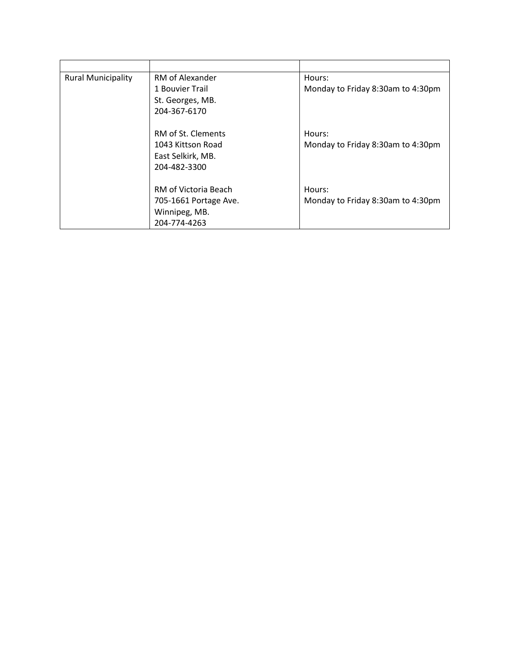| <b>Rural Municipality</b> | RM of Alexander       | Hours:                            |
|---------------------------|-----------------------|-----------------------------------|
|                           | 1 Bouvier Trail       | Monday to Friday 8:30am to 4:30pm |
|                           | St. Georges, MB.      |                                   |
|                           | 204-367-6170          |                                   |
|                           |                       |                                   |
|                           | RM of St. Clements    | Hours:                            |
|                           | 1043 Kittson Road     | Monday to Friday 8:30am to 4:30pm |
|                           | East Selkirk, MB.     |                                   |
|                           | 204-482-3300          |                                   |
|                           | RM of Victoria Beach  | Hours:                            |
|                           |                       |                                   |
|                           | 705-1661 Portage Ave. | Monday to Friday 8:30am to 4:30pm |
|                           | Winnipeg, MB.         |                                   |
|                           | 204-774-4263          |                                   |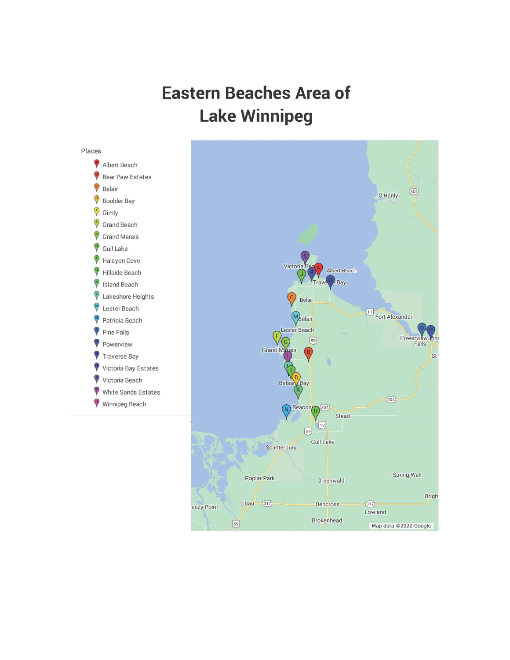## **Eastern Beaches Area of Lake Winnipeg**